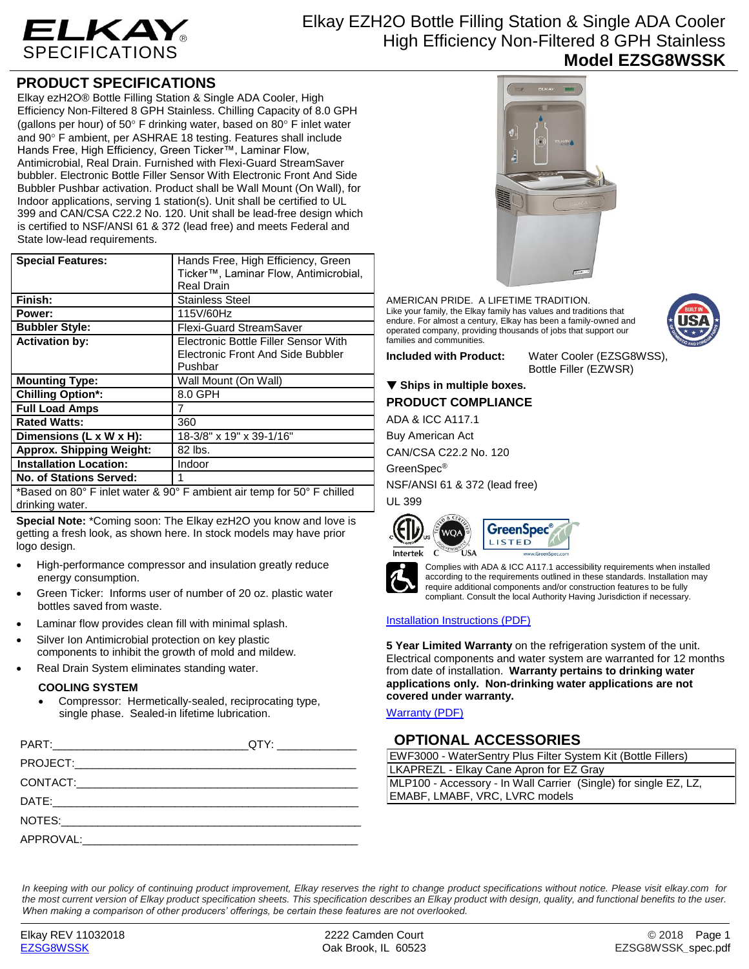

# Elkay EZH2O Bottle Filling Station & Single ADA Cooler High Efficiency Non-Filtered 8 GPH Stainless **Model EZSG8WSSK**

# **PRODUCT SPECIFICATIONS**

Elkay ezH2O® Bottle Filling Station & Single ADA Cooler, High Efficiency Non-Filtered 8 GPH Stainless. Chilling Capacity of 8.0 GPH (gallons per hour) of  $50^{\circ}$  F drinking water, based on  $80^{\circ}$  F inlet water and 90° F ambient, per ASHRAE 18 testing. Features shall include Hands Free, High Efficiency, Green Ticker™, Laminar Flow, Antimicrobial, Real Drain. Furnished with Flexi-Guard StreamSaver bubbler. Electronic Bottle Filler Sensor With Electronic Front And Side Bubbler Pushbar activation. Product shall be Wall Mount (On Wall), for Indoor applications, serving 1 station(s). Unit shall be certified to UL 399 and CAN/CSA C22.2 No. 120. Unit shall be lead-free design which is certified to NSF/ANSI 61 & 372 (lead free) and meets Federal and State low-lead requirements.

| <b>Special Features:</b>                                                                  | Hands Free, High Efficiency, Green                                        |  |
|-------------------------------------------------------------------------------------------|---------------------------------------------------------------------------|--|
|                                                                                           | Ticker™, Laminar Flow, Antimicrobial,                                     |  |
|                                                                                           | <b>Real Drain</b>                                                         |  |
| Finish:                                                                                   | <b>Stainless Steel</b>                                                    |  |
| Power:                                                                                    | 115V/60Hz                                                                 |  |
| <b>Bubbler Style:</b>                                                                     | <b>Flexi-Guard StreamSaver</b>                                            |  |
| <b>Activation by:</b>                                                                     | Electronic Bottle Filler Sensor With<br>Electronic Front And Side Bubbler |  |
|                                                                                           | Pushbar                                                                   |  |
| <b>Mounting Type:</b>                                                                     | Wall Mount (On Wall)                                                      |  |
| <b>Chilling Option*:</b>                                                                  | 8.0 GPH                                                                   |  |
| <b>Full Load Amps</b>                                                                     |                                                                           |  |
| <b>Rated Watts:</b>                                                                       | 360                                                                       |  |
| Dimensions (L x W x H):                                                                   | 18-3/8" x 19" x 39-1/16"                                                  |  |
| <b>Approx. Shipping Weight:</b>                                                           | 82 lbs.                                                                   |  |
| <b>Installation Location:</b>                                                             | Indoor                                                                    |  |
| <b>No. of Stations Served:</b>                                                            |                                                                           |  |
| *Based on 80° F inlet water & 90° F ambient air temp for 50° F chilled<br>drinking water. |                                                                           |  |

**Special Note:** \*Coming soon: The Elkay ezH2O you know and love is getting a fresh look, as shown here. In stock models may have prior logo design.

- High-performance compressor and insulation greatly reduce energy consumption.
- Green Ticker: Informs user of number of 20 oz. plastic water bottles saved from waste.
- Laminar flow provides clean fill with minimal splash.
- Silver Ion Antimicrobial protection on key plastic components to inhibit the growth of mold and mildew.
- Real Drain System eliminates standing water.

#### **COOLING SYSTEM**

 Compressor: Hermetically-sealed, reciprocating type, single phase. Sealed-in lifetime lubrication.

| QTY: ________________ |
|-----------------------|
|                       |
|                       |
|                       |
|                       |
|                       |
|                       |



AMERICAN PRIDE. A LIFETIME TRADITION. Like your family, the Elkay family has values and traditions that endure. For almost a century, Elkay has been a family-owned and operated company, providing thousands of jobs that support our families and communities.



**Included with Product:** Water Cooler (EZSG8WSS), Bottle Filler (EZWSR)

### ▼ Ships in multiple boxes.

**PRODUCT COMPLIANCE**

ADA & ICC A117.1

Buy American Act

CAN/CSA C22.2 No. 120

GreenSpec®

NSF/ANSI 61 & 372 (lead free) UL 399







Complies with ADA & ICC A117.1 accessibility requirements when installed according to the requirements outlined in these standards. Installation may require additional components and/or construction features to be fully compliant. Consult the local Authority Having Jurisdiction if necessary.

#### [Installation Instructions \(PDF\)](http://www.elkay.com/wcsstore/lkdocs/care-cleaning-install-warranty-sheets/1000001713.pdf)

**5 Year Limited Warranty** on the refrigeration system of the unit. Electrical components and water system are warranted for 12 months from date of installation. **Warranty pertains to drinking water applications only. Non-drinking water applications are not covered under warranty.**

[Warranty](http://www.elkay.com/wcsstore/lkdocs/care-cleaning-install-warranty-sheets/96993c.pdf) (PDF)

# **OPTIONAL ACCESSORIES**

| EWF3000 - WaterSentry Plus Filter System Kit (Bottle Fillers)    |  |  |
|------------------------------------------------------------------|--|--|
| LKAPREZL - Elkay Cane Apron for EZ Gray                          |  |  |
| MLP100 - Accessory - In Wall Carrier (Single) for single EZ, LZ, |  |  |
| EMABF, LMABF, VRC, LVRC models                                   |  |  |

*In keeping with our policy of continuing product improvement, Elkay reserves the right to change product specifications without notice. Please visit elkay.com for the most current version of Elkay product specification sheets. This specification describes an Elkay product with design, quality, and functional benefits to the user. When making a comparison of other producers' offerings, be certain these features are not overlooked.*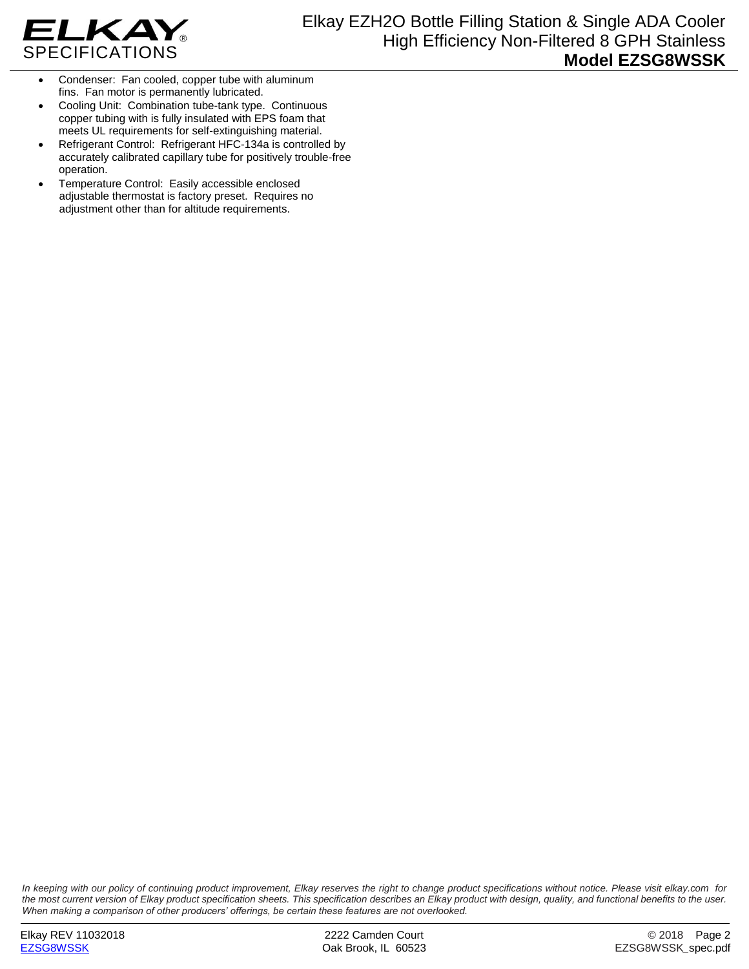

- Condenser: Fan cooled, copper tube with aluminum fins. Fan motor is permanently lubricated.
- Cooling Unit: Combination tube-tank type. Continuous copper tubing with is fully insulated with EPS foam that meets UL requirements for self-extinguishing material.
- Refrigerant Control: Refrigerant HFC-134a is controlled by accurately calibrated capillary tube for positively trouble-free operation.
- Temperature Control: Easily accessible enclosed adjustable thermostat is factory preset. Requires no adjustment other than for altitude requirements.

*In keeping with our policy of continuing product improvement, Elkay reserves the right to change product specifications without notice. Please visit elkay.com for the most current version of Elkay product specification sheets. This specification describes an Elkay product with design, quality, and functional benefits to the user. When making a comparison of other producers' offerings, be certain these features are not overlooked.*